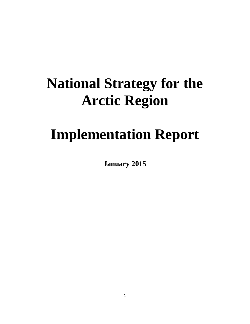# **National Strategy for the Arctic Region**

# **Implementation Report**

**January 2015**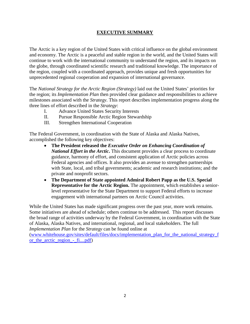# **EXECUTIVE SUMMARY**

The Arctic is a key region of the United States with critical influence on the global environment and economy. The Arctic is a peaceful and stable region in the world, and the United States will continue to work with the international community to understand the region, and its impacts on the globe, through coordinated scientific research and traditional knowledge. The importance of the region, coupled with a coordinated approach, provides unique and fresh opportunities for unprecedented regional cooperation and expansion of international governance.

The *National Strategy for the Arctic Region (Strategy)* laid out the United States' priorities for the region; its *Implementation Plan* then provided clear guidance and responsibilities to achieve milestones associated with the *Strategy*. This report describes implementation progress along the three lines of effort described in the *Strategy*:

- I. Advance United States Security Interests
- II. Pursue Responsible Arctic Region Stewardship
- III. Strengthen International Cooperation

The Federal Government, in coordination with the State of Alaska and Alaska Natives, accomplished the following key objectives:

- **The President released the** *Executive Order on Enhancing Coordination of National Effort in the Arctic***.** This document provides a clear process to coordinate guidance, harmony of effort, and consistent application of Arctic policies across Federal agencies and offices. It also provides an avenue to strengthen partnerships with State, local, and tribal governments; academic and research institutions; and the private and nonprofit sectors.
- **The Department of State appointed Admiral Robert Papp as the U.S. Special Representative for the Arctic Region.** The appointment, which establishes a seniorlevel representative for the State Department to support Federal efforts to increase engagement with international partners on Arctic Council activities.

While the United States has made significant progress over the past year, more work remains. Some initiatives are ahead of schedule; others continue to be addressed. This report discusses the broad range of activities underway by the Federal Government, in coordination with the State of Alaska, Alaska Natives, and international, regional, and local stakeholders. The full *Implementation Plan* for the *Strategy* can be found online at

[\(www.whitehouse.gov/sites/default/files/docs/implementation\\_plan\\_for\\_the\\_national\\_strategy\\_f](http://www.whitehouse.gov/sites/default/files/docs/implementation_plan_for_the_national_strategy_for_the_arctic_region_-_fi....pdf) or the arctic region -  $fi...pdf$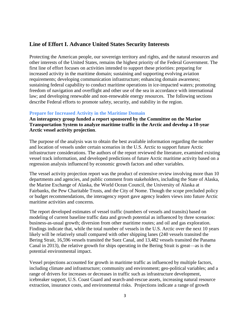# **Line of Effort I. Advance United States Security Interests**

Protecting the American people, our sovereign territory and rights, and the natural resources and other interests of the United States, remains the highest priority of the Federal Government. The first line of effort focuses on activities intended to support these priorities: preparing for increased activity in the maritime domain; sustaining and supporting evolving aviation requirements; developing communication infrastructure; enhancing domain awareness; sustaining federal capability to conduct maritime operations in ice-impacted waters; promoting freedom of navigation and overflight and other use of the sea in accordance with international law; and developing renewable and non-renewable energy resources. The following sections describe Federal efforts to promote safety, security, and stability in the region.

#### **Prepare for Increased Activity in the Maritime Domain**

**An interagency group funded a report sponsored by the Committee on the Marine Transportation System to analyze maritime traffic in the Arctic and develop a 10-year Arctic vessel activity projection**.

The purpose of the analysis was to obtain the best available information regarding the number and location of vessels under certain scenarios in the U.S. Arctic to support future Arctic infrastructure considerations. The authors of the report reviewed the literature, examined existing vessel track information, and developed predictions of future Arctic maritime activity based on a regression analysis influenced by economic growth factors and other variables.

The vessel activity projection report was the product of extensive review involving more than 10 departments and agencies, and public comment from stakeholders, including the State of Alaska, the Marine Exchange of Alaska, the World Ocean Council, the University of Alaska at Fairbanks, the Pew Charitable Trusts, and the City of Nome. Though the scope precluded policy or budget recommendations, the interagency report gave agency leaders views into future Arctic maritime activities and concerns.

The report developed estimates of vessel traffic (numbers of vessels and transits) based on modeling of current baseline traffic data and growth potential as influenced by three scenarios: business-as-usual growth; diversion from other maritime routes; and oil and gas exploration. Findings indicate that, while the total number of vessels in the U.S. Arctic over the next 10 years likely will be relatively small compared with other shipping lanes (240 vessels transited the Bering Strait, 16,596 vessels transited the Suez Canal, and 13,482 vessels transited the Panama Canal in 2013), the relative growth for ships operating in the Bering Strait is great—as is the potential environmental impact.

Vessel projections accounted for growth in maritime traffic as influenced by multiple factors, including climate and infrastructure; community and environment; geo-political variables; and a range of drivers for increases or decreases in traffic such as infrastructure development, icebreaker support, U.S. Coast Guard and search-and-rescue assets, increasing natural resource extraction, insurance costs, and environmental risks. Projections indicate a range of growth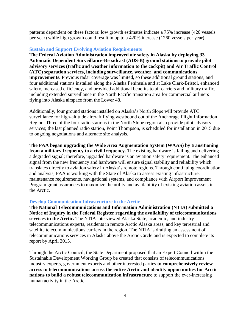patterns dependent on these factors: low growth estimates indicate a 75% increase (420 vessels per year) while high growth could result in up to a 420% increase (1260 vessels per year).

#### **Sustain and Support Evolving Aviation Requirements**

**The Federal Aviation Administration improved air safety in Alaska by deploying 33 Automatic Dependent Surveillance-Broadcast (ADS-B) ground stations to provide pilot advisory services (traffic and weather information to the cockpit) and Air Traffic Control (ATC) separation services, including surveillance, weather, and communications improvements.** Previous radar coverage was limited, so these additional ground stations, and four additional stations installed along the Alaska Peninsula and at Lake Clark-Bristol, enhanced safety, increased efficiency, and provided additional benefits to air carriers and military traffic, including extended surveillance in the North Pacific transition area for commercial airliners flying into Alaska airspace from the Lower 48.

Additionally, four ground stations installed on Alaska's North Slope will provide ATC surveillance for high-altitude aircraft flying westbound out of the Anchorage Flight Information Region. Three of the four radio stations in the North Slope region also provide pilot advisory services; the last planned radio station, Point Thompson, is scheduled for installation in 2015 due to ongoing negotiations and alternate site analysis.

**The FAA began upgrading the Wide Area Augmentation System (WAAS) by transitioning from a military frequency to a civil frequency.** The existing hardware is failing and delivering a degraded signal; therefore, upgraded hardware is an aviation safety requirement. The enhanced signal from the new frequency and hardware will ensure signal stability and reliability which translates directly to aviation safety in Alaska's remote regions. Through continuing coordination and analysis, FAA is working with the State of Alaska to assess existing infrastructure, maintenance requirements, navigational systems, and compliance with Airport Improvement Program grant assurances to maximize the utility and availability of existing aviation assets in the Arctic.

#### **Develop Communication Infrastructure in the Arctic**

**The National Telecommunications and Information Administration (NTIA) submitted a Notice of Inquiry in the Federal Register regarding the availability of telecommunications services in the Arctic.** The NTIA interviewed Alaska State, academic, and industry telecommunications experts, residents in remote Arctic Alaska areas, and key terrestrial and satellite telecommunications carriers in the region. The NTIA is drafting an assessment of telecommunications services in Alaska above the Arctic Circle and is expected to complete its report by April 2015.

Through the Arctic Council, the State Department proposed that an Expert Council within the Sustainable Development Working Group be created that consists of telecommunications industry experts, government experts and other interested parties **to comprehensively review access to telecommunications across the entire Arctic and identify opportunities for Arctic nations to build a robust telecommunication infrastructure** to support the ever-increasing human activity in the Arctic.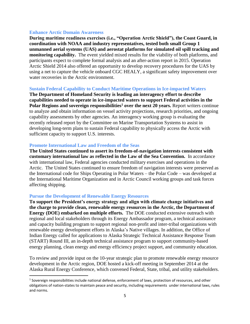#### **Enhance Arctic Domain Awareness**

**During maritime readiness exercises (i.e., "Operation Arctic Shield"), the Coast Guard, in coordination with NOAA and industry representatives, tested both small Group 1 unmanned aerial systems (UAS) and aerostat platforms for simulated oil spill tracking and monitoring capability.** The event yielded mixed results for the viability of both platforms, and participants expect to complete formal analysis and an after-action report in 2015. Operation Arctic Shield 2014 also offered an opportunity to develop recovery procedures for the UAS by using a net to capture the vehicle onboard CGC HEALY, a significant safety improvement over water recoveries in the Arctic environment.

#### **Sustain Federal Capability to Conduct Maritime Operations in Ice-impacted Waters**

**The Department of Homeland Security is leading an interagency effort to describe capabilities needed to operate in ice-impacted waters to support Federal activities in the Polar Regions and sovereign responsibilities<sup>1</sup> over the next 20 years.** Report writers continue to analyze and obtain information on vessel activity projections, research priorities, and ongoing capability assessments by other agencies. An interagency working group is evaluating the recently released report by the Committee on Marine Transportation Systems to assist in developing long-term plans to sustain Federal capability to physically access the Arctic with sufficient capacity to support U.S. interests.

#### **Promote International Law and Freedom of the Seas**

**The United States continued to assert its freedom-of-navigation interests consistent with customary international law as reflected in the Law of the Sea Convention.** In accordance with international law, Federal agencies conducted military exercises and operations in the Arctic. The United States continued to ensure freedom of navigation interests were preserved as the International code for Ships Operating in Polar Waters – the Polar Code – was developed at the International Maritime Organization and in Arctic Council working groups and task forces affecting shipping.

#### **Pursue the Development of Renewable Energy Resources**

 $\overline{a}$ 

**To support the President's energy strategy and align with climate change initiatives and the charge to provide clean, renewable energy resources in the Arctic, the Department of Energy (DOE) embarked on multiple efforts.** The DOE conducted extensive outreach with regional and local stakeholders through its Energy Ambassador program, a technical assistance and capacity building program to support regional non-profit and inter-tribal organizations with renewable energy development efforts in Alaska's Native villages. In addition, the Office of Indian Energy called for applications to Alaska Strategic Technical Assistance Response Team (START) Round III, an in-depth technical assistance program to support community-based energy planning, clean energy and energy efficiency project support, and community education.

To review and provide input on the 10-year strategic plan to promote renewable energy resource development in the Arctic region, DOE hosted a kick-off meeting in September 2014 at the Alaska Rural Energy Conference, which convened Federal, State, tribal, and utility stakeholders.

<sup>&</sup>lt;sup>1</sup> Sovereign responsibilities include national defense, enforcement of laws, protection of resources, and other obligations of nation-states to maintain peace and security, including requirements under international laws, rules and norms.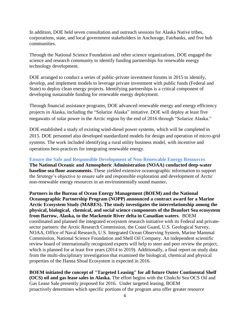In addition, DOE held seven consultation and outreach sessions for Alaska Native tribes, corporations, state, and local government stakeholders in Anchorage, Fairbanks, and five hub communities.

Through the National Science Foundation and other science organizations, DOE engaged the science and research community to identify funding partnerships for renewable energy technology development.

DOE arranged to conduct a series of public-private investment forums in 2015 to identify, develop, and implement models to leverage private investment with public funds (Federal and State) to deploy clean energy projects. Identifying partnerships is a critical component of developing sustainable funding for renewable energy deployment.

Through financial assistance programs, DOE advanced renewable energy and energy efficiency projects in Alaska, including the "Solarize Alaska" initiative. DOE will deploy at least five megawatts of solar power in the Arctic region by the end of 2016 through "Solarize Alaska."

DOE established a study of existing wind-diesel power systems, which will be completed in 2015. DOE personnel also developed standardized models for design and operation of micro-grid systems. The work included identifying a rural utility business model, with incentive and operations best-practices for integrating renewable energy.

**Ensure the Safe and Responsible Development of Non-Renewable Energy Resources The National Oceanic and Atmospheric Administration (NOAA) conducted deep-water baseline sea floor assessments.** These yielded extensive oceanographic information to support the *Strategy*'s objective to ensure safe and responsible exploration and development of Arctic non-renewable energy resources in an environmentally sound manner**.**

**Partners in the Bureau of Ocean Energy Management (BOEM) and the National Oceanographic Partnership Program (NOPP) announced a contract award for a Marine Arctic Ecosystem Study (MARES). The study investigates the interrelationship among the physical, biological, chemical, and social science components of the Beaufort Sea ecosystem from Barrow, Alaska, to the Mackenzie River delta in Canadian waters**. BOEM coordinated and planned the integrated ecosystem research initiative with its Federal and privatesector partners: the Arctic Research Commission, the Coast Guard, U.S. Geological Survey, NOAA, Office of Naval Research, U.S. Integrated Ocean Observing System, Marine Mammal Commission, National Science Foundation and Shell Oil Company. An independent scientific review board of internationally recognized experts will help to steer and peer review the project, which is planned for at least five years (2014 to 2019). Additionally, a final report on study data from the multi-disciplinary investigation that examined the biological, chemical and physical properties of the Hanna Shoal Ecosystem is expected in 2016.

**BOEM initiated the concept of "Targeted Leasing" for all future Outer Continental Shelf (OCS) oil and gas lease sales in Alaska.** The effort begins with the Chukchi Sea OCS Oil and Gas Lease Sale presently proposed for 2016. Under targeted leasing, BOEM proactively determines which specific portions of the program area offer greater resource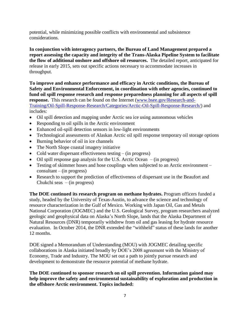potential, while minimizing possible conflicts with environmental and subsistence considerations.

**In conjunction with interagency partners, the Bureau of Land Management prepared a report assessing the capacity and integrity of the Trans-Alaska Pipeline System to facilitate the flow of additional onshore and offshore oil resources.** The detailed report, anticipated for release in early 2015, sets out specific actions necessary to accommodate increases in throughput.

**To improve and enhance performance and efficacy in Arctic conditions, the Bureau of Safety and Environmental Enforcement, in coordination with other agencies, continued to fund oil spill response research and response preparedness planning for all aspects of spill response.** This research can be found on the Internet [\(www.bsee.gov/Research-and-](http://www.bsee.gov/Research-and-Training/Oil-Spill-Response-Research/Categories/Arctic-Oil-Spill-Response-Research/)[Training/Oil-Spill-Response-Research/Categories/Arctic-Oil-Spill-Response-Research/\)](http://www.bsee.gov/Research-and-Training/Oil-Spill-Response-Research/Categories/Arctic-Oil-Spill-Response-Research/) and includes:

- Oil spill detection and mapping under Arctic sea ice using autonomous vehicles
- Responding to oil spills in the Arctic environment
- Enhanced oil-spill detection sensors in low-light environments
- Technological assessments of Alaskan Arctic oil spill response temporary oil storage options
- Burning behavior of oil in ice channels
- The North Slope coastal imagery initiative
- Cold water dispersant effectiveness testing (in progress)
- Oil spill response gap analysis for the U.S. Arctic Ocean (in progress)
- Testing of skimmer hoses and hose couplings when subjected to an Arctic environment consultant – (in progress)
- Research to support the prediction of effectiveness of dispersant use in the Beaufort and Chukchi seas – (in progress)

**The DOE continued its research program on methane hydrates.** Program officers funded a study, headed by the University of Texas-Austin, to advance the science and technology of resource characterization in the Gulf of Mexico. Working with Japan Oil, Gas and Metals National Corporation (JOGMEC) and the U.S. Geological Survey, program researchers analyzed geologic and geophysical data on Alaska's North Slope, lands that the Alaska Department of Natural Resources (DNR) temporarily withdrew from oil and gas leasing for hydrate resource evaluation. In October 2014, the DNR extended the "withheld" status of these lands for another 12 months.

DOE signed a Memorandum of Understanding (MOU) with JOGMEC detailing specific collaborations in Alaska initiated broadly by DOE's 2008 agreement with the Ministry of Economy, Trade and Industry. The MOU set out a path to jointly pursue research and development to demonstrate the resource potential of methane hydrate.

**The DOE continued to sponsor research on oil spill prevention. Information gained may help improve the safety and environmental sustainability of exploration and production in the offshore Arctic environment. Topics included:**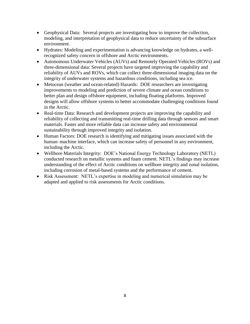- Geophysical Data: Several projects are investigating how to improve the collection, modeling, and interpretation of geophysical data to reduce uncertainty of the subsurface environment.
- Hydrates: Modeling and experimentation is advancing knowledge on hydrates, a wellrecognized safety concern in offshore and Arctic environments.
- Autonomous Underwater Vehicles (AUVs) and Remotely Operated Vehicles (ROVs) and three-dimensional data: Several projects have targeted improving the capability and reliability of AUVs and ROVs, which can collect three-dimensional imaging data on the integrity of underwater systems and hazardous conditions, including sea ice.
- Metocean (weather and ocean-related) Hazards: DOE researchers are investigating improvements to modeling and prediction of severe climate and ocean conditions to better plan and design offshore equipment, including floating platforms. Improved designs will allow offshore systems to better accommodate challenging conditions found in the Arctic.
- Real-time Data: Research and development projects are improving the capability and reliability of collecting and transmitting real-time drilling data through sensors and smart materials. Faster and more reliable data can increase safety and environmental sustainability through improved integrity and isolation.
- Human Factors: DOE research is identifying and mitigating issues associated with the human–machine interface, which can increase safety of personnel in any environment, including the Arctic.
- Wellbore Materials Integrity: DOE's National Energy Technology Laboratory (NETL) conducted research on metallic systems and foam cement. NETL's findings may increase understanding of the effect of Arctic conditions on wellbore integrity and zonal isolation, including corrosion of metal-based systems and the performance of cement.
- Risk Assessment: NETL's expertise in modeling and numerical simulation may be adapted and applied to risk assessments for Arctic conditions.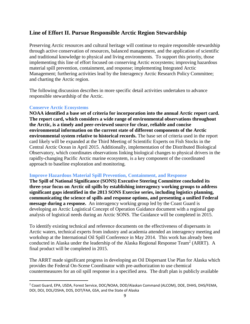# **Line of Effort II. Pursue Responsible Arctic Region Stewardship**

Preserving Arctic resources and cultural heritage will continue to require responsible stewardship through active conservation of resources, balanced management, and the application of scientific and traditional knowledge to physical and living environments. To support this priority, those implementing this line of effort focused on conserving Arctic ecosystems; improving hazardous material spill prevention, containment, and response; implementing Integrated Arctic Management; furthering activities lead by the Interagency Arctic Research Policy Committee; and charting the Arctic region.

The following discussion describes in more specific detail activities undertaken to advance responsible stewardship of the Arctic.

### **Conserve Arctic Ecosystems**

 $\overline{\phantom{a}}$ 

**NOAA identified a base set of criteria for incorporation into the annual Arctic report card. The report card, which considers a wide range of environmental observations throughout the Arctic, is a timely and peer-reviewed source for clear, reliable and concise environmental information on the current state of different components of the Arctic environmental system relative to historical records.** The base set of criteria used in the report card likely will be expanded at the Third Meeting of Scientific Experts on Fish Stocks in the Central Arctic Ocean in April 2015. Additionally, implementation of the Distributed Biological Observatory, which coordinates observations linking biological changes to physical drivers in the rapidly-changing Pacific Arctic marine ecosystem, is a key component of the coordinated approach to baseline exploration and monitoring.

## **Improve Hazardous Material Spill Prevention, Containment, and Response**

**The Spill of National Significance (SONS) Executive Steering Committee concluded its three-year focus on Arctic oil spills by establishing interagency working groups to address significant gaps identified in the 2013 SONS Exercise series, including logistics planning, communicating the science of spills and response options, and presenting a unified Federal message during a response.** An interagency working group led by the Coast Guard is developing an Arctic Logistical Concept of Operation Guidance document with a regional gap analysis of logistical needs during an Arctic SONS. The Guidance will be completed in 2015.

To identify existing technical and reference documents on the effectiveness of dispersants in Arctic waters, technical experts from industry and academia attended an interagency meeting and workshop at the International Oil Spill Conference in May 2014. This work has already been conducted in Alaska under the leadership of the Alaska Regional Response Team<sup>2</sup> (ARRT). A final product will be completed in 2015.

The ARRT made significant progress in developing an Oil Dispersant Use Plan for Alaska which provides the Federal On-Scene Coordinator with pre-authorization to use chemical countermeasures for an oil spill response in a specified area. The draft plan is publicly available

<sup>2</sup> Coast Guard, EPA, USDA, Forest Service, DOC/NOAA, DOD/Alaskan Command (ALCOM), DOE, DHHS, DHS/FEMA, DOI, DOJ, DOL/OSHA, DOS, DOT/FAA, GSA, and the State of Alaska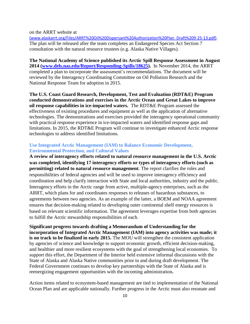on the ARRT website at

[\(www.alaskarrt.org/Files/ARRT%20Oil%20Dispersant%20Authorization%20Plan\\_Draft%209-25-13.pdf\)](http://(www.alaskarrt.org/Files/ARRT%20Oil%20Dispersant%20Authorization%20Plan_Draft%209-25-13.pdf). The plan will be released after the team completes an Endangered Species Act Section 7 consultation with the natural resource trustees (e.g. Alaska Native Villages).

**The National Academy of Science published its Arctic Spill Response Assessment in August 2014 [\(www.dels.nas.edu/Report/Responding-Spills/18625\)](http://www.dels.nas.edu/Report/Responding-Spills/18625).** In November 2014, the ARRT completed a plan to incorporate the assessment's recommendations. The document will be reviewed by the Interagency Coordinating Committee on Oil Pollution Research and the National Response Team for adoption in 2015.

**The U.S. Coast Guard Research, Development, Test and Evaluation (RDT&E) Program conducted demonstrations and exercises in the Arctic Ocean and Great Lakes to improve oil response capabilities in ice-impacted waters.** The RDT&E Program assessed the effectiveness of existing procedures and equipment as well as the application of alternative technologies. The demonstrations and exercises provided the interagency operational community with practical response experience in ice-impacted waters and identified response gaps and limitations. In 2015, the RDT&E Program will continue to investigate enhanced Arctic response technologies to address identified limitations.

## **Use Integrated Arctic Management (IAM) to Balance Economic Development, Environmental Protection, and Cultural Values**

**A review of interagency efforts related to natural resource management in the U.S. Arctic was completed, identifying 17 interagency efforts or types of interagency efforts (such as permitting) related to natural resource management**. The report clarifies the roles and responsibilities of federal agencies and will be used to improve interagency efficiency and coordination and help clarify interaction with State and local authorities, industry and the public. Interagency efforts in the Arctic range from active, multiple-agency enterprises, such as the ARRT, which plans for and coordinates responses to releases of hazardous substances, to agreements between two agencies. As an example of the latter, a BOEM and NOAA agreement ensures that decision-making related to developing outer continental shelf energy resources is based on relevant scientific information. The agreement leverages expertise from both agencies to fulfill the Arctic stewardship responsibilities of each.

**Significant progress towards drafting a Memorandum of Understanding for the incorporation of Integrated Arctic Management (IAM) into agency activities was made; it is on track to be finalized in early 2015.** The MOU will strengthen the consistent application by agencies of science and knowledge to support economic growth, efficient decision-making, and healthier and more resilient ecosystems with the goal of strengthening local economies.To support this effort, the Department of the Interior held extensive informal discussions with the State of Alaska and Alaska Native communities prior to and during draft development. The Federal Government continues to develop key partnerships with the State of Alaska and is reenergizing engagement opportunities with the incoming administration**.** 

Action items related to ecosystem-based management are tied to implementation of the National Ocean Plan and are applicable nationally. Further progress in the Arctic must also resonate and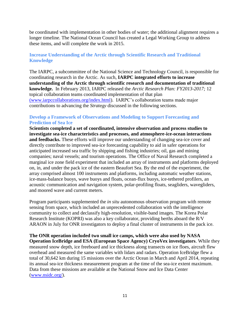be coordinated with implementation in other bodies of water; the additional alignment requires a longer timeline. The National Ocean Council has created a Legal Working Group to address these items, and will complete the work in 2015.

## **Increase Understanding of the Arctic through Scientific Research and Traditional Knowledge**

The IARPC, a subcommittee of the National Science and Technology Council, is responsible for coordinating research in the Arctic. As such, **IARPC integrated efforts to increase understanding of the Arctic through scientific research and documentation of traditional knowledge.** In February 2013, IARPC released the *Arctic Research Plan: FY2013-2017;* 12 topical collaboration teams coordinated implementation of that plan [\(www.iarpccollaborations.org/index.html\)](http://(www.iarpccollaborations.org/index.html). IARPC's collaboration teams made major contributions to advancing the *Strategy* discussed in the following sections.

## **Develop a Framework of Observations and Modeling to Support Forecasting and Prediction of Sea Ice**

**Scientists completed a set of coordinated, intensive observation and process studies to investigate sea-ice characteristics and processes, and atmosphere-ice-ocean interactions and feedbacks.** These efforts will improve our understanding of changing sea-ice cover and directly contribute to improved sea-ice forecasting capability to aid in safer operations for anticipated increased sea traffic by shipping and fishing industries; oil, gas and mining companies; naval vessels; and tourism operations. The Office of Naval Research completed a marginal ice zone field experiment that included an array of instruments and platforms deployed on, in, and under the pack ice of the eastern Beaufort Sea. By the end of the experiment, the array comprised almost 100 instruments and platforms, including automatic weather stations, ice-mass-balance buoys, wave buoys and floats, ocean-flux buoys, ice-tethered profilers, an acoustic communication and navigation system, polar-profiling floats, seagliders, wavegliders, and moored wave and current meters.

Program participants supplemented the *in situ* autonomous observation program with remote sensing from space, which included an unprecedented collaboration with the intelligence community to collect and declassify high-resolution, visible-band images. The Korea Polar Research Institute (KOPRI) was also a key collaborator, providing berths aboard the R/V ARAON in July for ONR investigators to deploy a final cluster of instruments in the pack ice.

**The ONR operation included two small ice camps, which were also used by NASA Operation IceBridge and ESA (European Space Agency) CryoVex investigators**. While they measured snow depth, ice freeboard and ice thickness along transects on ice floes, aircraft flew overhead and measured the same variables with lidars and radars. Operation IceBridge flew a total of 30,642 km during 15 missions over the Arctic Ocean in March and April 2014, repeating its annual sea-ice thickness measurement program at the time of the sea-ice extent maximum. Data from these missions are available at the National Snow and Ice Data Center [\(www.nsidc.org/\)](http://www.nsidc.org/).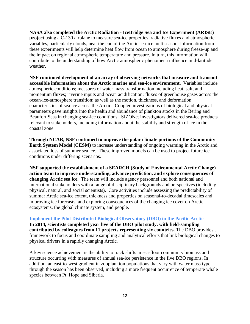**NASA also completed the Arctic Radiation - IceBridge Sea and Ice Experiment (ARISE) project** using a C-130 airplane to measure sea-ice properties, radiative fluxes and atmospheric variables, particularly clouds, near the end of the Arctic sea-ice melt season. Information from these experiments will help determine heat flow from ocean to atmosphere during freeze-up and the impact on regional atmospheric temperature and pressure. In turn, this information will contribute to the understanding of how Arctic atmospheric phenomena influence mid-latitude weather.

**NSF continued development of an array of observing networks that measure and transmit accessible information about the Arctic marine and sea-ice environment.** Variables include atmospheric conditions; measures of water mass transformation including heat, salt, and momentum fluxes; riverine inputs and ocean acidification; fluxes of greenhouse gases across the ocean-ice-atmosphere transition; as well as the motion, thickness, and deformation characteristics of sea ice across the Arctic. Coupled investigations of biological and physical parameters gave insights into the health and abundance of plankton stocks in the Bering and Beaufort Seas in changing sea-ice conditions. SIZONet investigators delivered sea-ice products relevant to stakeholders, including information about the stability and strength of ice in the coastal zone.

**Through NCAR, NSF continued to improve the polar climate portions of the Community Earth System Model (CESM)** to increase understanding of ongoing warming in the Arctic and associated loss of summer sea ice. These improved models can be used to project future ice conditions under differing scenarios.

**NSF supported the establishment of a SEARCH (Study of Environmental Arctic Change) action team to improve understanding, advance prediction, and explore consequences of changing Arctic sea ice.** The team will include agency personnel and both national and international stakeholders with a range of disciplinary backgrounds and perspectives (including physical, natural, and social scientists). Core activities include assessing the predictability of summer Arctic sea-ice extent, thickness and properties on seasonal-to-decadal timescales and improving ice forecasts; and exploring consequences of the changing ice cover on Arctic ecosystems, the global climate system, and people.

**Implement the Pilot Distributed Biological Observatory (DBO) in the Pacific Arctic In 2014, scientists completed year five of the DBO pilot study, with field-sampling contributed by colleagues from 11 projects representing six countries.** The DBO provides a framework to focus and coordinate sampling and analytical efforts that link biological changes to

physical drivers in a rapidly changing Arctic.

A key science achievement is the ability to track shifts in sea-floor community biomass and structure occurring with measures of annual sea-ice persistence in the five DBO regions. In addition, an east-to-west gradient in zooplankton populations that vary with water mass type through the season has been observed, including a more frequent occurrence of temperate whale species between Pt. Hope and Siberia.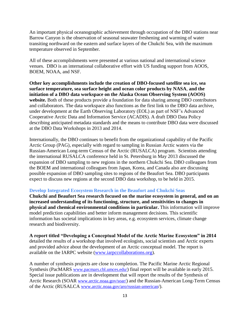An important physical oceanographic achievement through occupation of the DBO stations near Barrow Canyon is the observation of seasonal seawater freshening and warming of water transiting northward on the eastern and surface layers of the Chukchi Sea, with the maximum temperature observed in September.

All of these accomplishments were presented at various national and international science venues. DBO is an international collaborative effort with US funding support from AOOS, BOEM, NOAA, and NSF.

**Other key accomplishments include the creation of DBO-focused satellite sea ice, sea surface temperature, sea surface height and ocean color products by NASA**, **and the initiation of a DBO data workspace on the Alaska Ocean Observing System (AOOS)** website. Both of these products provide a foundation for data sharing among DBO contributors and collaborators. The data workspace also functions as the first link to the DBO data archive, under development at the Earth Observing Laboratory (EOL) as part of NSF's Advanced Cooperative Arctic Data and Information Service (ACADIS). A draft DBO Data Policy describing anticipated metadata standards and the means to contribute DBO data were discussed at the DBO Data Workshops in 2013 and 2014.

Internationally, the DBO continues to benefit from the organizational capability of the Pacific Arctic Group (PAG), especially with regard to sampling in Russian Arctic waters via the Russian-American Long-term Census of the Arctic (RUSALCA) program. Scientists attending the international RUSALCA conference held in St. Petersburg in May 2013 discussed the expansion of DBO sampling to new regions in the northern Chukchi Sea. DBO colleagues from the BOEM and international colleagues from Japan, Korea, and Canada also are discussing possible expansion of DBO sampling sites to regions of the Beaufort Sea. DBO participants expect to discuss new regions at the second DBO data workshop, to be held in 2015.

#### **Develop Integrated Ecosystem Research in the Beaufort and Chukchi Seas**

**Chukchi and Beaufort Sea research focused on the marine ecosystem in general, and on an increased understanding of its functioning, structure, and sensitivities to changes in physical and chemical environmental conditions in particular.** This information will improve model prediction capabilities and better inform management decisions. This scientific information has societal implications in key areas, e.g. ecosystem services, climate change research and biodiversity.

**A report titled "Developing a Conceptual Model of the Arctic Marine Ecosystem" in 2014** detailed the results of a workshop that involved ecologists, social scientists and Arctic experts and provided advice about the development of an Arctic conceptual model. The report is available on the IARPC website [\(www.iarpccollaborations.org\)](http://www.iarpccollaborations.org/).

A number of synthesis projects are close to completion. The Pacific Marine Arctic Regional Synthesis (PacMARS [www.pacmars.cbl.umces.edu/](http://www.pacmars.cbl.umces.edu/)) final report will be available in early 2015. Special issue publications are in development that will report the results of the Synthesis of Arctic Research (SOAR [www.arctic.noaa.gov/soar/](http://www.arctic.noaa.gov/soar/)) and the Russian-American Long-Term Census of the Arctic (RUSALCA www.arctic.noaa.gov/aro/russian-american/).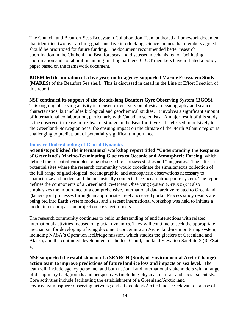The Chukchi and Beaufort Seas Ecosystem Collaboration Team authored a framework document that identified two overarching goals and five interlocking science themes that members agreed should be prioritized for future funding. The document recommended better research coordination in the Chukchi and Beaufort seas and discussed mechanisms for facilitating coordination and collaboration among funding partners. CBCT members have initiated a policy paper based on the framework document.

**BOEM led the initiation of a five-year, multi-agency-supported Marine Ecosystem Study (MARES)** of the Beaufort Sea shelf. This is discussed in detail in the Line of Effort I section of this report.

**NSF continued its support of the decade-long Beaufort Gyre Observing System (BGOS).**  This ongoing observing activity is focused extensively on physical oceanography and sea ice characteristics, but includes biological and geochemical studies. It involves a significant amount of international collaboration, particularly with Canadian scientists. A major result of this study is the observed increase in freshwater storage in the Beaufort Gyre. If released impulsively to the Greenland-Norwegian Seas, the ensuing impact on the climate of the North Atlantic region is challenging to predict, but of potentially significant importance.

#### **Improve Understanding of Glacial Dynamics**

**Scientists published the international workshop report titled "Understanding the Response of Greenland's Marine-Terminating Glaciers to Oceanic and Atmospheric Forcing,** which defined the essential variables to be observed for process studies and "megasites." The latter are potential sites where the research community would coordinate the simultaneous collection of the full range of glaciological, oceanographic, and atmospheric observations necessary to characterize and understand the intrinsically connected ice-ocean-atmosphere system. The report defines the components of a Greenland Ice-Ocean Observing System (GrIOOS); it also emphasizes the importance of a comprehensive, international data archive related to Greenland glacier-fjord processes through an appropriate, freely accessed portal. Process study results are being fed into Earth system models, and a recent international workshop was held to initiate a model inter-comparison project on ice sheet models.

The research community continues to build understanding of and interactions with related international activities focused on glacial dynamics. They will continue to seek the appropriate mechanism for developing a living document concerning an Arctic land-ice monitoring system, including NASA's Operation IceBridge mission, which studies the glaciers of Greenland and Alaska, and the continued development of the Ice, Cloud, and land Elevation Satellite-2 (ICESat-2).

**NSF supported the establishment of a SEARCH (Study of Environmental Arctic Change) action team to improve predictions of future land-ice loss and impacts on sea level.** The team will include agency personnel and both national and international stakeholders with a range of disciplinary backgrounds and perspectives (including physical, natural, and social scientists. Core activities include facilitating the establishment of a Greenland/Arctic land ice/ocean/atmosphere observing network; and a Greenland/Arctic land-ice relevant database of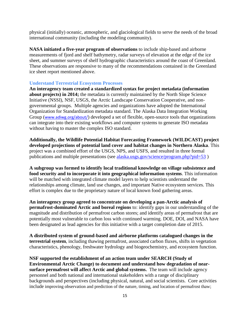physical (initially) oceanic, atmospheric, and glaciological fields to serve the needs of the broad international community (including the modeling community).

**NASA initiated a five-year program of observations** to include ship-based and airborne measurements of fjord and shelf bathymetry, radar surveys of elevation at the edge of the ice sheet, and summer surveys of shelf hydrographic characteristics around the coast of Greenland. These observations are responsive to many of the recommendations contained in the Greenland ice sheet report mentioned above.

#### **Understand Terrestrial Ecosystem Processes**

**An interagency team created a standardized syntax for project metadata (information about projects) in 2014;** the metadata is currently maintained by the North Slope Science Initiative (NSSI), NSF, USGS, the Arctic Landscape Conservation Cooperative, and nongovernmental groups. Multiple agencies and organizations have adopted the International Organization for Standardization metadata standard. The Alaska Data Integration Working Group ([www.adiwg.org/about/](http://www.adiwg.org/about/)) developed a set of flexible, open-source tools that organizations can integrate into their existing workflows and computer systems to generate ISO metadata without having to master the complex ISO standard.

**Additionally, the Wildlife Potential Habitat Forecasting Framework (WILDCAST) project developed projections of potential land cover and habitat changes in Northern Alaska**. This project was a combined effort of the USGS, NPS, and USFS, and resulted in three formal publications and multiple presentations (see [alaska.usgs.gov/science/program.php?pid=53](http://alaska.usgs.gov/science/program.php?pid=53) )

**A subgroup was formed to identify local traditional knowledge on village subsistence and food security and to incorporate it into geographical information systems**. This information will be matched with integrated climate model layers to help scientists understand the relationships among climate, land use changes, and important Native ecosystem services. This effort is complex due to the proprietary nature of local known food gathering areas.

**An interagency group agreed to concentrate on developing a pan-Arctic analysis of permafrost-dominated Arctic and boreal regions** to: identify gaps in our understanding of the magnitude and distribution of permafrost carbon stores; and identify areas of permafrost that are potentially most vulnerable to carbon loss with continued warming. DOE, DOI, and NASA have been designated as lead agencies for this initiative with a target completion date of 2015.

**A distributed system of ground-based and airborne platforms catalogued changes in the terrestrial system**, including thawing permafrost, associated carbon fluxes, shifts in vegetation characteristics, phenology, freshwater hydrology and biogeochemistry, and ecosystem function.

**NSF supported the establishment of an action team under SEARCH (Study of Environmental Arctic Change) to document and understand how degradation of nearsurface permafrost will affect Arctic and global systems.** The team will include agency personnel and both national and international stakeholders with a range of disciplinary backgrounds and perspectives (including physical, natural, and social scientists. Core activities include improving observation and prediction of the nature, timing, and location of permafrost thaw;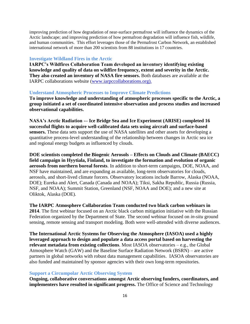improving prediction of how degradation of near-surface permafrost will influence the dynamics of the Arctic landscape; and improving prediction of how permafrost degradation will influence fish, wildlife, and human communities. This effort leverages those of the Permafrost Carbon Network, an established international network of more than 200 scientists from 88 institutions in 17 countries.

#### **Investigate Wildland Fires in the Arctic**

**IARPC's Wildfires Collaboration Team developed an inventory identifying existing knowledge and quality of data on wildfire frequency, extent and severity in the Arctic. They also created an inventory of NASA fire sensors.** Both databases are available at the IARPC collaborations website [\(www.iarpccollaborations.org\)](http://www.iarpccollaborations.org/).

#### **Understand Atmospheric Processes to Improve Climate Predictions**

**To improve knowledge and understanding of atmospheric processes specific to the Arctic, a group initiated a set of coordinated intensive observation and process studies and increased observational capabilities.** 

**NASA's Arctic Radiation -– Ice Bridge Sea and Ice Experiment (ARISE) completed 16 successful flights to acquire well-calibrated data sets using aircraft and surface-based sensors.** These data sets support the use of NASA satellites and other assets for developing a quantitative process-level understanding of the relationship between changes in Arctic sea ice and regional energy budgets as influenced by clouds.

**DOE scientists completed the Biogenic Aerosols – Effects on Clouds and Climate (BAECC) field campaign in Hyytiala, Finland, to investigate the formation and evolution of organic aerosols from northern boreal forests**. In addition to short-term campaigns, DOE, NOAA, and NSF have maintained, and are expanding as available, long-term observatories for clouds, aerosols, and short-lived climate forcers. Observatory locations include Barrow, Alaska (NOAA, DOE); Eureka and Alert, Canada (Canada and NOAA); Tiksi, Sakha Republic, Russia (Russia, NSF, and NOAA); Summit Station, Greenland (NSF, NOAA and DOE); and a new site at Oliktok, Alaska (DOE).

**The IARPC Atmosphere Collaboration Team conducted two black carbon webinars in 2014**. The first webinar focused on an Arctic black carbon mitigation initiative with the Russian Federation organized by the Department of State. The second webinar focused on *in-situ* ground sensing, remote sensing and transport modeling. Both were well-attended with diverse audiences.

**The International Arctic Systems for Observing the Atmosphere (IASOA) used a highly leveraged approach to design and populate a data access portal based on harvesting the relevant metadata from existing collections**. Most IASOA observatories – e.g., the Global Atmosphere Watch (GAW) and the Baseline Surface Radiation Network (BSRN) – are active partners in global networks with robust data management capabilities. IASOA observatories are also funded and maintained by sponsor agencies with their own long-term repositories.

#### **Support a Circumpolar Arctic Observing System**

**Ongoing, collaborative conversations amongst Arctic observing funders, coordinators, and implementers have resulted in significant progress.** The Office of Science and Technology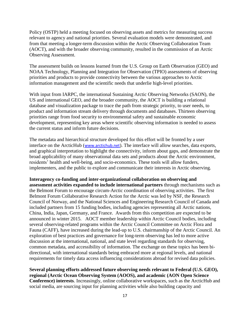Policy (OSTP) held a meeting focused on observing assets and metrics for measuring success relevant to agency and national priorities. Several evaluation models were demonstrated, and from that meeting a longer-term discussion within the Arctic Observing Collaboration Team (AOCT), and with the broader observing community, resulted in the commission of an Arctic Observing Assessment.

The assessment builds on lessons learned from the U.S. Group on Earth Observation (GEO) and NOAA Technology, Planning and Integration for Observation (TPIO) assessments of observing priorities and products to provide connectivity between the various approaches to Arctic information management and the scientific needs that underlie high-level priorities.

With input from IARPC, the international Sustaining Arctic Observing Networks (SAON), the US and international GEO, and the broader community, the AOCT is building a relational database and visualization package to trace the path from strategic priority, to user needs, to product and information stream delivery through documents and databases. Thirteen observing priorities range from food security to environmental safety and sustainable economic development, representing key areas where scientific observing information is needed to assess the current status and inform future decisions.

The metadata and hierarchical structure developed for this effort will be fronted by a user interface on the ArcticHub ([www.arctichub.net](http://www.arctichub.net/)). The interface will allow searches, data exports, and graphical interpretation to highlight the connectivity, inform about gaps, and demonstrate the broad applicability of many observational data sets and products about the Arctic environment, residents' health and well-being, and socio-economics. These tools will allow funders, implementers, and the public to explore and communicate their interests in Arctic observing.

**Interagency co-funding and inter-organizational collaboration on observing and assessment activities expanded to include international partners** through mechanisms such as the Belmont Forum to encourage circum-Arctic coordination of observing activities. The first Belmont Forum Collaborative Research Action for the Arctic was led by NSF, the Research Council of Norway, and the National Sciences and Engineering Research Council of Canada and included partners from 15 funding bodies, including agencies representing all Arctic nations, China, India, Japan, Germany, and France. Awards from this competition are expected to be announced in winter 2015. AOCT member leadership within Arctic Council bodies, including several observing-related programs within the Arctic Council Committee on Arctic Flora and Fauna (CAFF), have increased during the lead-up to U.S. chairmanship of the Arctic Council. An exploration of best practices and governance for long-term observing has led to more active discussion at the international, national, and state level regarding standards for observing, common metadata, and accessibility of information. The exchange on these topics has been bidirectional, with international standards being embraced more at regional levels, and national requirements for timely data access influencing considerations abroad for revised data policies.

**Several planning efforts addressed future observing needs relevant to Federal (U.S. GEO), regional (Arctic Ocean Observing System (AOOS), and academic (AON Open Science Conference) interests**. Increasingly, online collaborative workspaces, such as the ArcticHub and social media, are sourcing input for planning activities while also building capacity and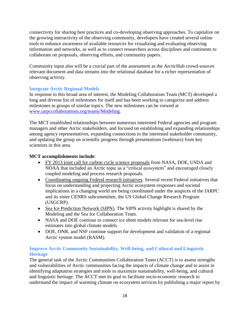connectivity for sharing best practices and co-developing observing approaches. To capitalize on the growing interactivity of the observing community, developers have created several online tools to enhance awareness of available resources for visualizing and evaluating observing information and networks, as well as to connect researchers across disciplines and continents to collaborate on proposals, observing efforts, and community papers.

Community input also will be a crucial part of the assessment as the ArcticHub crowd-sources relevant document and data streams into the relational database for a richer representation of observing activity.

## **Integrate Arctic Regional Models**

In response to this broad area of interest, the Modeling Collaboration Team (MCT) developed a long and diverse list of milestones for itself and has been working to categorize and address milestones in groups of similar topics. The new milestones can be viewed at [www.iarpccollaborations.org/teams/Modeling.](http://www.iarpccollaborations.org/teams/Modeling)

The MCT established relationships between numerous interested Federal agencies and program managers and other Arctic stakeholders, and focused on establishing and expanding relationships among agency representatives, expanding connections to the interested stakeholder community, and updating the group on scientific progress through presentations (webinars) from key scientists in this area.

## **MCT accomplishments include**:

- FY 2013 joint call for carbon cycle science proposals from NASA, DOE, USDA and NOAA that included an Arctic topic as a "critical ecosystem" and encouraged closely coupled modeling and process research proposals.
- Coordinating ongoing Federal research initiatives. Several recent Federal initiatives that focus on understanding and projecting Arctic ecosystem responses and societal implications in a changing world are being coordinated under the auspices of the IARPC and its sister CENRS subcommittee, the US Global Change Research Program (USGCRP).
- Sea Ice Prediction Network (SIPN). The SIPN activity highlight is shared by the Modeling and the Sea Ice Collaboration Team.
- NASA and DOE continue to connect ice sheet models relevant for sea-level rise estimates into global climate models.
- DOE, ONR, and NSF continue support for development and validation of a regional Arctic system model (RASM).

## **Improve Arctic Community Sustainability, Well-being, and Cultural and Linguistic Heritage**

The general task of the Arctic Communities Collaboration Team (ACCT) is to assess strengths and vulnerabilities of Arctic communities facing the impacts of climate change and to assist in identifying adaptation strategies and tools to maximize sustainability, well-being, and cultural and linguistic heritage. The ACCT met its goal to facilitate socio-economic research to understand the impact of warming climate on ecosystem services by publishing a major report by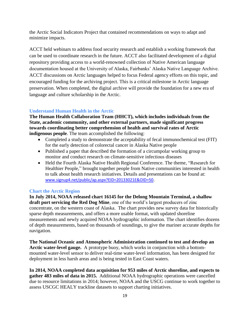the Arctic Social Indicators Project that contained recommendations on ways to adapt and minimize impacts.

ACCT held webinars to address food security research and establish a working framework that can be used to coordinate research in the future. ACCT also facilitated development of a digital repository providing access to a world-renowned collection of Native American language documentation housed at the University of Alaska, Fairbanks' Alaska Native Language Archive. ACCT discussions on Arctic languages helped to focus Federal agency efforts on this topic, and encouraged funding for the archiving project. This is a critical milestone in Arctic language preservation. When completed, the digital archive will provide the foundation for a new era of language and culture scholarship in the Arctic.

## **Understand Human Health in the Arctic**

**The Human Health Collaboration Team (HHCT), which includes individuals from the State, academic community, and other external partners, made significant progress towards coordinating better comprehension of health and survival rates of Arctic indigenous people**. The team accomplished the following:

- Completed a study to demonstrate the acceptability of fecal immunochemical test (FIT) for the early detection of colorectal cancer in Alaska Native people
- Published a paper that described the formation of a circumpolar working group to monitor and conduct research on climate-sensitive infectious diseases
- Held the Fourth Alaska Native Health Regional Conference. The theme, "Research for Healthier People," brought together people from Native communities interested in health to talk about health research initiatives. Details and presentations can be found at: [www.signup4.net/public/ap.aspx?EID=20133021E&OID=50](http://www.signup4.net/public/ap.aspx?EID=20133021E&OID=50).

#### **Chart the Arctic Region**

**In July 2014, NOAA released chart 16145 for the Delong Mountain Terminal, a shallow draft port servicing the Red Dog Mine**, one of the world's largest producers of zinc concentrate, on the western coast of Alaska. The chart provides new survey data for historically sparse depth measurements, and offers a more usable format, with updated shoreline measurements and newly acquired NOAA hydrographic information. The chart identifies dozens of depth measurements, based on thousands of soundings, to give the mariner accurate depths for navigation.

**The National Oceanic and Atmospheric Administration continued to test and develop an Arctic water-level gauge.** A prototype buoy, which works in conjunction with a bottommounted water-level sensor to deliver real-time water-level information, has been designed for deployment in less harsh areas and is being tested in East Coast waters.

**In 2014, NOAA completed data acquisition for 953 miles of Arctic shoreline, and expects to gather 483 miles of data in 2015.** Additional NOAA hydrographic operations were cancelled due to resource limitations in 2014; however, NOAA and the USCG continue to work together to assess USCGC HEALY trackline datasets to support charting initiatives.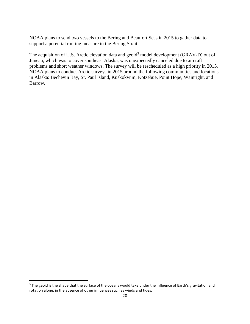NOAA plans to send two vessels to the Bering and Beaufort Seas in 2015 to gather data to support a potential routing measure in the Bering Strait.

The acquisition of U.S. Arctic elevation data and geoid<sup>3</sup> model development (GRAV-D) out of Juneau, which was to cover southeast Alaska, was unexpectedly canceled due to aircraft problems and short weather windows. The survey will be rescheduled as a high priority in 2015. NOAA plans to conduct Arctic surveys in 2015 around the following communities and locations in Alaska: Bechevin Bay, St. Paul Island, Kuskokwim, Kotzebue, Point Hope, Wainright, and Barrow.

 $\overline{\phantom{a}}$ 

<sup>&</sup>lt;sup>3</sup> The geoid is the shape that the surface of the oceans would take under the influence of Earth's gravitation and rotation alone, in the absence of other influences such as winds and tides.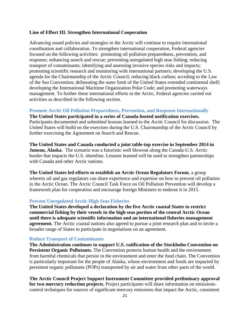#### **Line of Effort III. Strengthen International Cooperation**

Advancing sound policies and strategies in the Arctic will continue to require international coordination and collaboration. To strengthen international cooperation, Federal agencies focused on the following activities: promoting oil pollution preparedness, prevention, and response; enhancing search and rescue; preventing unregulated high seas fishing; reducing transport of contaminants; identifying and assessing invasive species risks and impacts; promoting scientific research and monitoring with international partners; developing the U.S. agenda for the Chairmanship of the Arctic Council; reducing black carbon; acceding to the Law of the Sea Convention; delineating the outer limit of the United States extended continental shelf; developing the International Maritime Organization Polar Code; and promoting waterways management. To further these international efforts in the Arctic, Federal agencies carried out activities as described in the following section.

#### **Promote Arctic Oil Pollution Preparedness, Prevention, and Response Internationally**

**The United States participated in a series of Canada-hosted notification exercises.**  Participants documented and submitted lessons learned to the Arctic Council for discussion. The United States will build on the exercises during the U.S. Chairmanship of the Arctic Council by further exercising the Agreement on Search and Rescue.

**The United States and Canada conducted a joint table-top exercise in September 2014 in Juneau, Alaska**. The scenario was a futuristic well blowout along the Canada-U.S. Arctic border that impacts the U.S. shoreline. Lessons learned will be used to strengthen partnerships with Canada and other Arctic nations.

**The United States led efforts to establish an Arctic Ocean Regulators Forum**, a group wherein oil and gas regulators can share experience and expertise on how to prevent oil pollution in the Arctic Ocean. The Arctic Council Task Force on Oil Pollution Prevention will develop a framework plan for cooperation and encourage foreign Ministers to endorse it in 2015.

#### **Prevent Unregulated Arctic High Seas Fisheries**

**The United States developed a declaration by the five Arctic coastal States to restrict commercial fishing by their vessels in the high seas portion of the central Arctic Ocean until there is adequate scientific information and an international fisheries management agreement.** The Arctic coastal nations also agreed to pursue a joint research plan and to invite a broader range of States to participate in negotiations on an agreement.

#### **Reduce Transport of Contaminants**

**The Administration continues to support U.S. ratification of the Stockholm Convention on Persistent Organic Pollutants.** The Convention protects human health and the environment from harmful chemicals that persist in the environment and enter the food chain. The Convention is particularly important for the people of Alaska, whose environment and foods are impacted by persistent organic pollutants (POPs) transported by air and water from other parts of the world.

**The Arctic Council Project Support Instrument Committee provided preliminary approval for two mercury reduction projects.** Project participants will share information on emissionscontrol techniques for sources of significant mercury emissions that impact the Arctic, consistent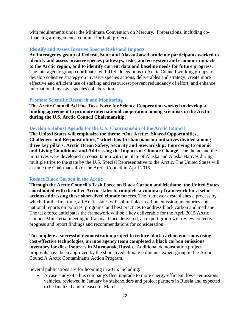with requirements under the Minimata Convention on Mercury. Preparations, including cofinancing arrangements, continue for both projects.

#### **Identify and Assess Invasive Species Risks and Impacts**

**An interagency group of Federal, State and Alaska-based academic participants worked to identify and assess invasive species pathways, risks, and ecosystem and economic impacts to the Arctic region, and to identify current data and baseline needs for future progress.** The interagency group coordinates with U.S. delegations to Arctic Council working groups to develop cohesive strategy on invasive species actions, deliverables and strategy; create more effective and efficient use of staffing and resources; prevent redundancy of effort; and enhance international invasive species collaboration.

#### **Promote Scientific Research and Monitoring**

**The Arctic Council Ad Hoc Task Force for Science Cooperation worked to develop a binding agreement to promote international cooperation among scientists in the Arctic during the U.S. Arctic Council Chairmanship.** 

#### **Develop a Robust Agenda for the U.S. Chairmanship of the Arctic Council**

**The United States will emphasize the theme "One Arctic: Shared Opportunities, Challenges and Responsibilities," which has 15 chairmanship initiatives divided among three key pillars: Arctic Ocean Safety, Security and Stewardship; Improving Economic and Living Conditions; and Addressing the Impacts of Climate Change**. The theme and the initiatives were developed in consultation with the State of Alaska and Alaska Natives during multiple trips to the state by the U.S. Special Representative to the Arctic. The United States will assume the Chairmanship of the Arctic Council in April 2015.

#### **Reduce Black Carbon in the Arctic**

**Through the Arctic Council's Task Force on Black Carbon and Methane, the United States coordinated with the other Arctic states to complete a voluntary framework for a set of actions addressing these short-lived climate forcers**. The framework establishes a process by which, for the first time, all Arctic states will submit black carbon emission inventories and national reports on policies, programs, and best practices to address black carbon and methane. The task force anticipates the framework will be a key deliverable for the April 2015 Arctic Council Ministerial meeting in Canada. Once delivered, an expert group will review collective progress and report findings and recommendations for consideration.

**To complete a successful demonstration project to reduce black carbon emissions using cost-effective technologies, an interagency team completed a black carbon emissions inventory for diesel sources in Murmansk, Russia.** Additional demonstration project proposals have been approved by the short-lived climate pollutants expert group in the Arctic Council's Arctic Contaminants Action Program.

Several publications are forthcoming in 2015, including:

 A case study of a bus company's fleet upgrade to more energy-efficient, lower-emissions vehicles, reviewed in January by stakeholders and project partners in Russia and expected to be finalized and released in March.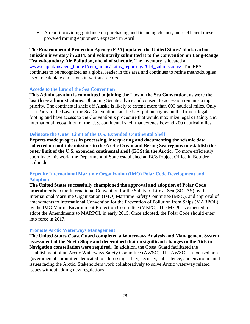A report providing guidance on purchasing and financing cleaner, more efficient dieselpowered mining equipment, expected in April.

**The Environmental Protection Agency (EPA) updated the United States' black carbon emission inventory in 2014, and voluntarily submitted it to the Convention on Long-Range Trans-boundary Air Pollution, ahead of schedule.** The inventory is located at [www.ceip.at/ms/ceip\\_home1/ceip\\_home/status\\_reporting/2014\\_submissions/.](http://www.ceip.at/ms/ceip_home1/ceip_home/status_reporting/2014_submissions/) The EPA continues to be recognized as a global leader in this area and continues to refine methodologies used to calculate emissions in various sectors.

#### **Accede to the Law of the Sea Convention**

**This Administration is committed to joining the Law of the Sea Convention, as were the last three administrations**. Obtaining Senate advice and consent to accession remains a top priority. The continental shelf off Alaska is likely to extend more than 600 nautical miles. Only as a Party to the Law of the Sea Convention can the U.S. put our rights on the firmest legal footing and have access to the Convention's procedure that would maximize legal certainty and international recognition of the U.S. continental shelf that extends beyond 200 nautical miles.

#### **Delineate the Outer Limit of the U.S. Extended Continental Shelf**

**Experts made progress in processing, interpreting and documenting the seismic data collected on multiple missions in the Arctic Ocean and Bering Sea regions to establish the outer limit of the U.S. extended continental shelf (ECS) in the Arctic.** To more efficiently coordinate this work, the Department of State established an ECS Project Office in Boulder, Colorado.

## **Expedite International Maritime Organization (IMO) Polar Code Development and Adoption**

**The United States successfully championed the approval and adoption of Polar Code amendments** to the International Convention for the Safety of Life at Sea (SOLAS) by the International Maritime Organization (IMO) Maritime Safety Committee (MSC), and approval of amendments to International Convention for the Prevention of Pollution from Ships (MARPOL) by the IMO Marine Environment Protection Committee (MEPC). The MEPC is expected to adopt the Amendments to MARPOL in early 2015. Once adopted, the Polar Code should enter into force in 2017.

#### **Promote Arctic Waterways Management**

**The United States Coast Guard completed a Waterways Analysis and Management System assessment of the North Slope and determined that no significant changes to the Aids to Navigation constellation were required.** In addition, the Coast Guard facilitated the establishment of an Arctic Waterways Safety Committee (AWSC). The AWSC is a focused nongovernmental committee dedicated to addressing safety, security, subsistence, and environmental issues facing the Arctic. Stakeholders work collaboratively to solve Arctic waterway related issues without adding new regulations.